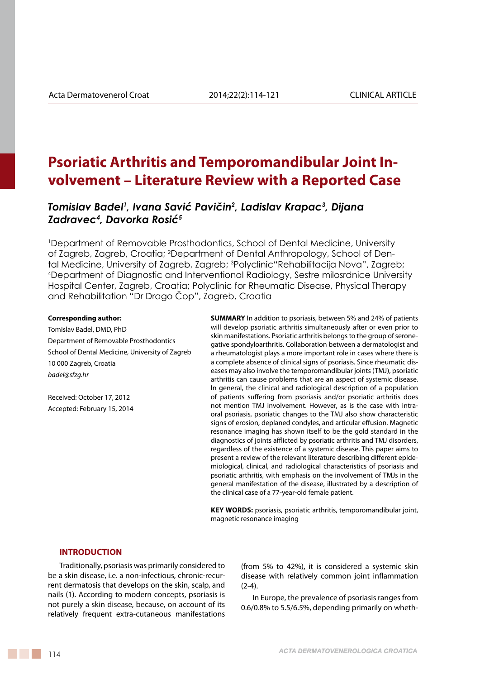# **Psoriatic Arthritis and Temporomandibular Joint Involvement – Literature Review with a Reported Case**

*Tomislav Badel1 , Ivana Savić Pavičin<sup>2</sup> , Ladislav Krapac3 , Dijana Zadravec4 , Davorka Rosić<sup>5</sup>*

1 Department of Removable Prosthodontics, School of Dental Medicine, University of Zagreb, Zagreb, Croatia; 2 Department of Dental Anthropology, School of Dental Medicine, University of Zagreb, Zagreb; 3 Polyclinic"Rehabilitacija Nova", Zagreb; 4 Department of Diagnostic and Interventional Radiology, Sestre milosrdnice University Hospital Center, Zagreb, Croatia; Polyclinic for Rheumatic Disease, Physical Therapy and Rehabilitation "Dr Drago Čop", Zagreb, Croatia

#### **Corresponding author:**

Tomislav Badel, DMD, PhD Department of Removable Prosthodontics School of Dental Medicine, University of Zagreb 10 000 Zagreb, Croatia *badel@sfzg.hr*

Received: October 17, 2012 Accepted: February 15, 2014

**SUMMARY** In addition to psoriasis, between 5% and 24% of patients will develop psoriatic arthritis simultaneously after or even prior to skin manifestations. Psoriatic arthritis belongs to the group of seronegative spondyloarthritis. Collaboration between a dermatologist and a rheumatologist plays a more important role in cases where there is a complete absence of clinical signs of psoriasis. Since rheumatic diseases may also involve the temporomandibular joints (TMJ), psoriatic arthritis can cause problems that are an aspect of systemic disease. In general, the clinical and radiological description of a population of patients suffering from psoriasis and/or psoriatic arthritis does not mention TMJ involvement. However, as is the case with intraoral psoriasis, psoriatic changes to the TMJ also show characteristic signs of erosion, deplaned condyles, and articular effusion. Magnetic resonance imaging has shown itself to be the gold standard in the diagnostics of joints afflicted by psoriatic arthritis and TMJ disorders, regardless of the existence of a systemic disease. This paper aims to present a review of the relevant literature describing different epidemiological, clinical, and radiological characteristics of psoriasis and psoriatic arthritis, with emphasis on the involvement of TMJs in the general manifestation of the disease, illustrated by a description of the clinical case of a 77-year-old female patient.

KEY WORDS: psoriasis, psoriatic arthritis, temporomandibular joint, magnetic resonance imaging

#### **INTRODUCTION**

Traditionally, psoriasis was primarily considered to be a skin disease, i.e. a non-infectious, chronic-recurrent dermatosis that develops on the skin, scalp, and nails (1). According to modern concepts, psoriasis is not purely a skin disease, because, on account of its relatively frequent extra-cutaneous manifestations (from 5% to 42%), it is considered a systemic skin disease with relatively common joint inflammation (2-4).

In Europe, the prevalence of psoriasis ranges from 0.6/0.8% to 5.5/6.5%, depending primarily on wheth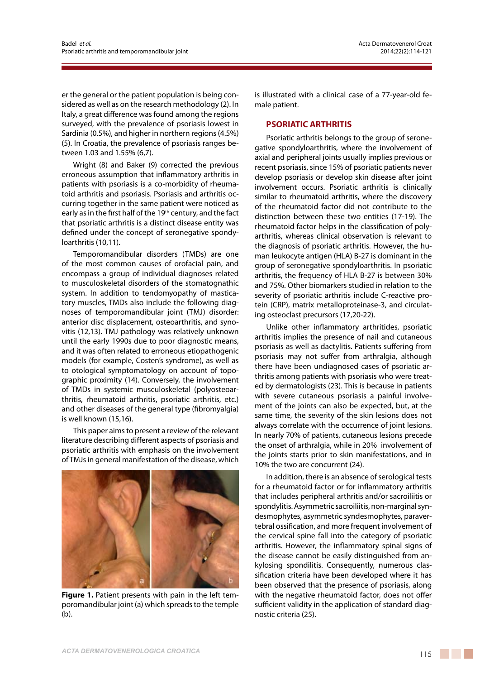er the general or the patient population is being considered as well as on the research methodology (2). In Italy, a great difference was found among the regions surveyed, with the prevalence of psoriasis lowest in Sardinia (0.5%), and higher in northern regions (4.5%) (5). In Croatia, the prevalence of psoriasis ranges between 1.03 and 1.55% (6,7).

Wright (8) and Baker (9) corrected the previous erroneous assumption that inflammatory arthritis in patients with psoriasis is a co-morbidity of rheumatoid arthritis and psoriasis. Psoriasis and arthritis occurring together in the same patient were noticed as early as in the first half of the 19th century, and the fact that psoriatic arthritis is a distinct disease entity was defined under the concept of seronegative spondyloarthritis (10,11).

Temporomandibular disorders (TMDs) are one of the most common causes of orofacial pain, and encompass a group of individual diagnoses related to musculoskeletal disorders of the stomatognathic system. In addition to tendomyopathy of masticatory muscles, TMDs also include the following diagnoses of temporomandibular joint (TMJ) disorder: anterior disc displacement, osteoarthritis, and synovitis (12,13). TMJ pathology was relatively unknown until the early 1990s due to poor diagnostic means, and it was often related to erroneous etiopathogenic models (for example, Costen's syndrome), as well as to otological symptomatology on account of topographic proximity (14). Conversely, the involvement of TMDs in systemic musculoskeletal (polyosteoarthritis, rheumatoid arthritis, psoriatic arthritis, etc.) and other diseases of the general type (fibromyalgia) is well known (15,16).

This paper aims to present a review of the relevant literature describing different aspects of psoriasis and psoriatic arthritis with emphasis on the involvement of TMJs in general manifestation of the disease, which



**Figure 1.** Patient presents with pain in the left temporomandibular joint (a) which spreads to the temple (b).

is illustrated with a clinical case of a 77-year-old female patient.

### **PSORIATIC ARTHRITIS**

Psoriatic arthritis belongs to the group of seronegative spondyloarthritis, where the involvement of axial and peripheral joints usually implies previous or recent psoriasis, since 15% of psoriatic patients never develop psoriasis or develop skin disease after joint involvement occurs. Psoriatic arthritis is clinically similar to rheumatoid arthritis, where the discovery of the rheumatoid factor did not contribute to the distinction between these two entities (17-19). The rheumatoid factor helps in the classification of polyarthritis, whereas clinical observation is relevant to the diagnosis of psoriatic arthritis. However, the human leukocyte antigen (HLA) B-27 is dominant in the group of seronegative spondyloarthritis. In psoriatic arthritis, the frequency of HLA B-27 is between 30% and 75%. Other biomarkers studied in relation to the severity of psoriatic arthritis include C-reactive protein (CRP), matrix metalloproteinase-3, and circulating osteoclast precursors (17,20-22).

Unlike other inflammatory arthritides, psoriatic arthritis implies the presence of nail and cutaneous psoriasis as well as dactylitis. Patients suffering from psoriasis may not suffer from arthralgia, although there have been undiagnosed cases of psoriatic arthritis among patients with psoriasis who were treated by dermatologists (23). This is because in patients with severe cutaneous psoriasis a painful involvement of the joints can also be expected, but, at the same time, the severity of the skin lesions does not always correlate with the occurrence of joint lesions. In nearly 70% of patients, cutaneous lesions precede the onset of arthralgia, while in 20% involvement of the joints starts prior to skin manifestations, and in 10% the two are concurrent (24).

In addition, there is an absence of serological tests for a rheumatoid factor or for inflammatory arthritis that includes peripheral arthritis and/or sacroiliitis or spondylitis. Asymmetric sacroiliitis, non-marginal syndesmophytes, asymmetric syndesmophytes, paravertebral ossification, and more frequent involvement of the cervical spine fall into the category of psoriatic arthritis. However, the inflammatory spinal signs of the disease cannot be easily distinguished from ankylosing spondilitis. Consequently, numerous classification criteria have been developed where it has been observed that the presence of psoriasis, along with the negative rheumatoid factor, does not offer sufficient validity in the application of standard diagnostic criteria (25).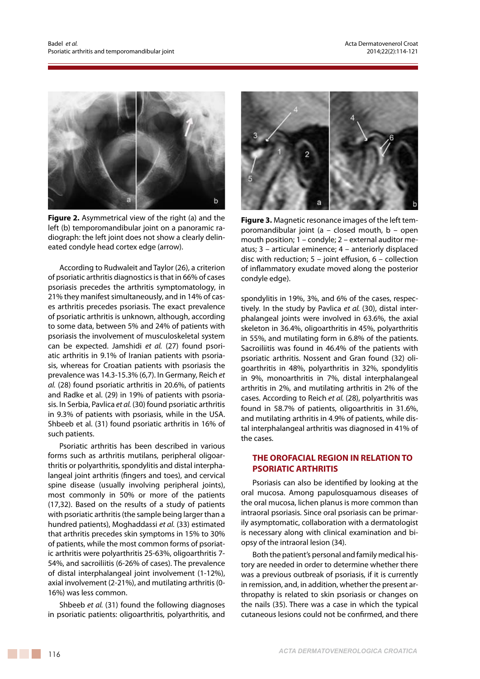

**Figure 2.** Asymmetrical view of the right (a) and the left (b) temporomandibular joint on a panoramic radiograph: the left joint does not show a clearly delineated condyle head cortex edge (arrow).

According to Rudwaleit and Taylor (26), a criterion of psoriatic arthritis diagnostics is that in 66% of cases psoriasis precedes the arthritis symptomatology, in 21% they manifest simultaneously, and in 14% of cases arthritis precedes psoriasis. The exact prevalence of psoriatic arthritis is unknown, although, according to some data, between 5% and 24% of patients with psoriasis the involvement of musculoskeletal system can be expected. Jamshidi *et al.* (27) found psoriatic arthritis in 9.1% of Iranian patients with psoriasis, whereas for Croatian patients with psoriasis the prevalence was 14.3-15.3% (6,7). In Germany, Reich *et al.* (28) found psoriatic arthritis in 20.6%, of patients and Radke et al. (29) in 19% of patients with psoriasis. In Serbia, Pavlica *et al.* (30) found psoriatic arthritis in 9.3% of patients with psoriasis, while in the USA. Shbeeb et al. (31) found psoriatic arthritis in 16% of such patients.

Psoriatic arthritis has been described in various forms such as arthritis mutilans, peripheral oligoarthritis or polyarthritis, spondylitis and distal interphalangeal joint arthritis (fingers and toes), and cervical spine disease (usually involving peripheral joints), most commonly in 50% or more of the patients (17,32). Based on the results of a study of patients with psoriatic arthritis (the sample being larger than a hundred patients), Moghaddassi *et al.* (33) estimated that arthritis precedes skin symptoms in 15% to 30% of patients, while the most common forms of psoriatic arthritis were polyarthritis 25-63%, oligoarthritis 7- 54%, and sacroiliitis (6-26% of cases). The prevalence of distal interphalangeal joint involvement (1-12%), axial involvement (2-21%), and mutilating arthritis (0- 16%) was less common.

Shbeeb *et al.* (31) found the following diagnoses in psoriatic patients: oligoarthritis, polyarthritis, and



**Figure 3.** Magnetic resonance images of the left temporomandibular joint (a – closed mouth, b – open mouth position; 1 – condyle; 2 – external auditor meatus; 3 – articular eminence; 4 – anteriorly displaced disc with reduction; 5 – joint effusion, 6 – collection of inflammatory exudate moved along the posterior condyle edge).

spondylitis in 19%, 3%, and 6% of the cases, respectively. In the study by Pavlica *et al.* (30), distal interphalangeal joints were involved in 63.6%, the axial skeleton in 36.4%, oligoarthritis in 45%, polyarthritis in 55%, and mutilating form in 6.8% of the patients. Sacroiliitis was found in 46.4% of the patients with psoriatic arthritis. Nossent and Gran found (32) oligoarthritis in 48%, polyarthritis in 32%, spondylitis in 9%, monoarthritis in 7%, distal interphalangeal arthritis in 2%, and mutilating arthritis in 2% of the cases. According to Reich *et al.* (28), polyarthritis was found in 58.7% of patients, oligoarthritis in 31.6%, and mutilating arthritis in 4.9% of patients, while distal interphalangeal arthritis was diagnosed in 41% of the cases.

# **THE OROFACIAL REGION IN RELATION TO PSORIATIC ARTHRITIS**

Psoriasis can also be identified by looking at the oral mucosa. Among papulosquamous diseases of the oral mucosa, lichen planus is more common than intraoral psoriasis. Since oral psoriasis can be primarily asymptomatic, collaboration with a dermatologist is necessary along with clinical examination and biopsy of the intraoral lesion (34).

Both the patient's personal and family medical history are needed in order to determine whether there was a previous outbreak of psoriasis, if it is currently in remission, and, in addition, whether the present arthropathy is related to skin psoriasis or changes on the nails (35). There was a case in which the typical cutaneous lesions could not be confirmed, and there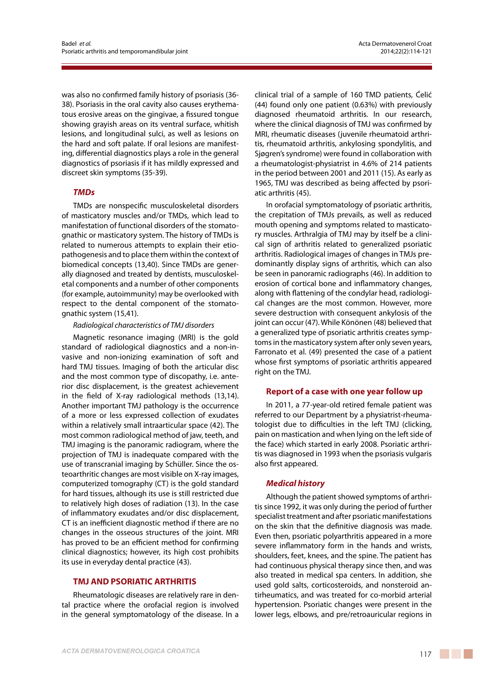was also no confirmed family history of psoriasis (36- 38). Psoriasis in the oral cavity also causes erythematous erosive areas on the gingivae, a fissured tongue showing grayish areas on its ventral surface, whitish lesions, and longitudinal sulci, as well as lesions on the hard and soft palate. If oral lesions are manifesting, differential diagnostics plays a role in the general diagnostics of psoriasis if it has mildly expressed and discreet skin symptoms (35-39).

## *TMDs*

TMDs are nonspecific musculoskeletal disorders of masticatory muscles and/or TMDs, which lead to manifestation of functional disorders of the stomatognathic or masticatory system. The history of TMDs is related to numerous attempts to explain their etiopathogenesis and to place them within the context of biomedical concepts (13,40). Since TMDs are generally diagnosed and treated by dentists, musculoskeletal components and a number of other components (for example, autoimmunity) may be overlooked with respect to the dental component of the stomatognathic system (15,41).

#### *Radiological characteristics of TMJ disorders*

Magnetic resonance imaging (MRI) is the gold standard of radiological diagnostics and a non-invasive and non-ionizing examination of soft and hard TMJ tissues. Imaging of both the articular disc and the most common type of discopathy, i.e. anterior disc displacement, is the greatest achievement in the field of X-ray radiological methods (13,14). Another important TMJ pathology is the occurrence of a more or less expressed collection of exudates within a relatively small intraarticular space (42). The most common radiological method of jaw, teeth, and TMJ imaging is the panoramic radiogram, where the projection of TMJ is inadequate compared with the use of transcranial imaging by Schüller. Since the osteoarthritic changes are most visible on X-ray images, computerized tomography (CT) is the gold standard for hard tissues, although its use is still restricted due to relatively high doses of radiation (13). In the case of inflammatory exudates and/or disc displacement, CT is an inefficient diagnostic method if there are no changes in the osseous structures of the joint. MRI has proved to be an efficient method for confirming clinical diagnostics; however, its high cost prohibits its use in everyday dental practice (43).

#### **TMJ AND PSORIATIC ARTHRITIS**

Rheumatologic diseases are relatively rare in dental practice where the orofacial region is involved in the general symptomatology of the disease. In a clinical trial of a sample of 160 TMD patients, Ćelić (44) found only one patient (0.63%) with previously diagnosed rheumatoid arthritis. In our research, where the clinical diagnosis of TMJ was confirmed by MRI, rheumatic diseases (juvenile rheumatoid arthritis, rheumatoid arthritis, ankylosing spondylitis, and Sjøgren's syndrome) were found in collaboration with a rheumatologist-physiatrist in 4.6% of 214 patients in the period between 2001 and 2011 (15). As early as 1965, TMJ was described as being affected by psoriatic arthritis (45).

In orofacial symptomatology of psoriatic arthritis, the crepitation of TMJs prevails, as well as reduced mouth opening and symptoms related to masticatory muscles. Arthralgia of TMJ may by itself be a clinical sign of arthritis related to generalized psoriatic arthritis. Radiological images of changes in TMJs predominantly display signs of arthritis, which can also be seen in panoramic radiographs (46). In addition to erosion of cortical bone and inflammatory changes, along with flattening of the condylar head, radiological changes are the most common. However, more severe destruction with consequent ankylosis of the joint can occur (47). While Könönen (48) believed that a generalized type of psoriatic arthritis creates symptoms in the masticatory system after only seven years, Farronato et al. (49) presented the case of a patient whose first symptoms of psoriatic arthritis appeared right on the TMJ.

#### **Report of a case with one year follow up**

In 2011, a 77-year-old retired female patient was referred to our Department by a physiatrist-rheumatologist due to difficulties in the left TMJ (clicking, pain on mastication and when lying on the left side of the face) which started in early 2008. Psoriatic arthritis was diagnosed in 1993 when the psoriasis vulgaris also first appeared.

#### *Medical history*

Although the patient showed symptoms of arthritis since 1992, it was only during the period of further specialist treatment and after psoriatic manifestations on the skin that the definitive diagnosis was made. Even then, psoriatic polyarthritis appeared in a more severe inflammatory form in the hands and wrists, shoulders, feet, knees, and the spine. The patient has had continuous physical therapy since then, and was also treated in medical spa centers. In addition, she used gold salts, corticosteroids, and nonsteroid antirheumatics, and was treated for co-morbid arterial hypertension. Psoriatic changes were present in the lower legs, elbows, and pre/retroauricular regions in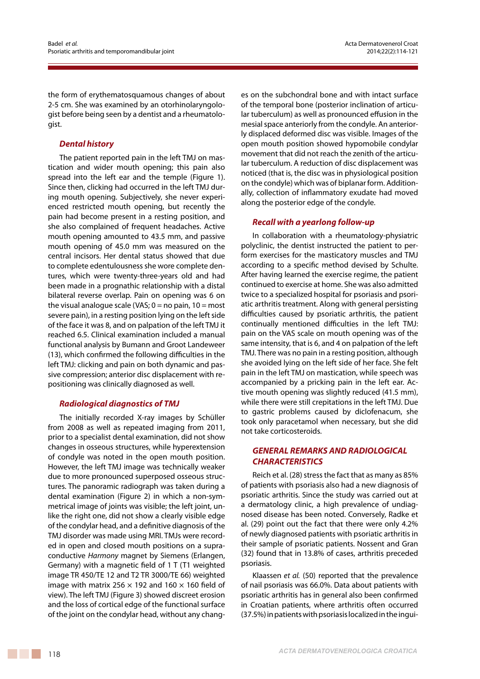the form of erythematosquamous changes of about 2-5 cm. She was examined by an otorhinolaryngologist before being seen by a dentist and a rheumatologist.

# *Dental history*

The patient reported pain in the left TMJ on mastication and wider mouth opening; this pain also spread into the left ear and the temple (Figure 1). Since then, clicking had occurred in the left TMJ during mouth opening. Subjectively, she never experienced restricted mouth opening, but recently the pain had become present in a resting position, and she also complained of frequent headaches. Active mouth opening amounted to 43.5 mm, and passive mouth opening of 45.0 mm was measured on the central incisors. Her dental status showed that due to complete edentulousness she wore complete dentures, which were twenty-three-years old and had been made in a prognathic relationship with a distal bilateral reverse overlap. Pain on opening was 6 on the visual analogue scale (VAS;  $0 =$  no pain,  $10 =$  most severe pain), in a resting position lying on the left side of the face it was 8, and on palpation of the left TMJ it reached 6.5. Clinical examination included a manual functional analysis by Bumann and Groot Landeweer (13), which confirmed the following difficulties in the left TMJ: clicking and pain on both dynamic and passive compression; anterior disc displacement with repositioning was clinically diagnosed as well.

# *Radiological diagnostics of TMJ*

The initially recorded X-ray images by Schüller from 2008 as well as repeated imaging from 2011, prior to a specialist dental examination, did not show changes in osseous structures, while hyperextension of condyle was noted in the open mouth position. However, the left TMJ image was technically weaker due to more pronounced superposed osseous structures. The panoramic radiograph was taken during a dental examination (Figure 2) in which a non-symmetrical image of joints was visible; the left joint, unlike the right one, did not show a clearly visible edge of the condylar head, and a definitive diagnosis of the TMJ disorder was made using MRI. TMJs were recorded in open and closed mouth positions on a supraconductive *Harmony* magnet by Siemens (Erlangen, Germany) with a magnetic field of 1 T (T1 weighted image TR 450/TE 12 and T2 TR 3000/TE 66) weighted image with matrix 256  $\times$  192 and 160  $\times$  160 field of view). The left TMJ (Figure 3) showed discreet erosion and the loss of cortical edge of the functional surface of the joint on the condylar head, without any chang-

es on the subchondral bone and with intact surface of the temporal bone (posterior inclination of articular tuberculum) as well as pronounced effusion in the mesial space anteriorly from the condyle. An anteriorly displaced deformed disc was visible. Images of the open mouth position showed hypomobile condylar movement that did not reach the zenith of the articular tuberculum. A reduction of disc displacement was noticed (that is, the disc was in physiological position on the condyle) which was of biplanar form. Additionally, collection of inflammatory exudate had moved along the posterior edge of the condyle.

# *Recall with a yearlong follow-up*

In collaboration with a rheumatology-physiatric polyclinic, the dentist instructed the patient to perform exercises for the masticatory muscles and TMJ according to a specific method devised by Schulte. After having learned the exercise regime, the patient continued to exercise at home. She was also admitted twice to a specialized hospital for psoriasis and psoriatic arthritis treatment. Along with general persisting difficulties caused by psoriatic arthritis, the patient continually mentioned difficulties in the left TMJ: pain on the VAS scale on mouth opening was of the same intensity, that is 6, and 4 on palpation of the left TMJ. There was no pain in a resting position, although she avoided lying on the left side of her face. She felt pain in the left TMJ on mastication, while speech was accompanied by a pricking pain in the left ear. Active mouth opening was slightly reduced (41.5 mm), while there were still crepitations in the left TMJ. Due to gastric problems caused by diclofenacum, she took only paracetamol when necessary, but she did not take corticosteroids.

# *GENERAL REMARKS AND RADIOLOGICAL CHARACTERISTICS*

Reich et al. (28) stress the fact that as many as 85% of patients with psoriasis also had a new diagnosis of psoriatic arthritis. Since the study was carried out at a dermatology clinic, a high prevalence of undiagnosed disease has been noted. Conversely, Radke et al. (29) point out the fact that there were only 4.2% of newly diagnosed patients with psoriatic arthritis in their sample of psoriatic patients. Nossent and Gran (32) found that in 13.8% of cases, arthritis preceded psoriasis.

Klaassen *et al.* (50) reported that the prevalence of nail psoriasis was 66.0%. Data about patients with psoriatic arthritis has in general also been confirmed in Croatian patients, where arthritis often occurred (37.5%) in patients with psoriasis localized in the ingui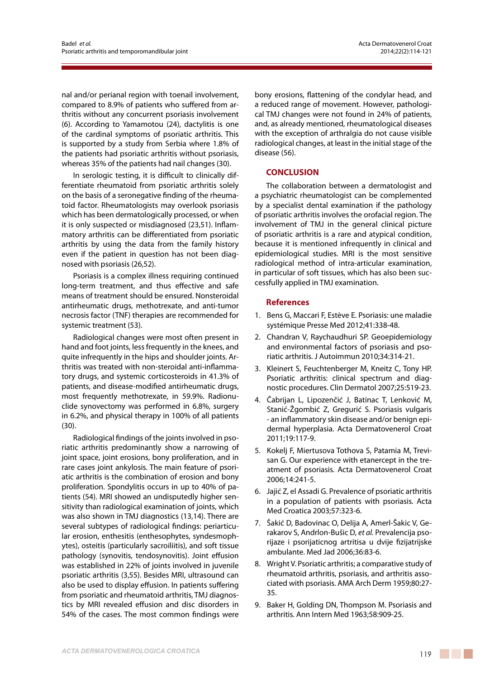nal and/or perianal region with toenail involvement, compared to 8.9% of patients who suffered from arthritis without any concurrent psoriasis involvement (6). According to Yamamotou (24), dactylitis is one of the cardinal symptoms of psoriatic arthritis. This is supported by a study from Serbia where 1.8% of the patients had psoriatic arthritis without psoriasis, whereas 35% of the patients had nail changes (30).

In serologic testing, it is difficult to clinically differentiate rheumatoid from psoriatic arthritis solely on the basis of a seronegative finding of the rheumatoid factor. Rheumatologists may overlook psoriasis which has been dermatologically processed, or when it is only suspected or misdiagnosed (23,51). Inflammatory arthritis can be differentiated from psoriatic arthritis by using the data from the family history even if the patient in question has not been diagnosed with psoriasis (26,52).

Psoriasis is a complex illness requiring continued long-term treatment, and thus effective and safe means of treatment should be ensured. Nonsteroidal antirheumatic drugs, methotrexate, and anti-tumor necrosis factor (TNF) therapies are recommended for systemic treatment (53).

Radiological changes were most often present in hand and foot joints, less frequently in the knees, and quite infrequently in the hips and shoulder joints. Arthritis was treated with non-steroidal anti-inflammatory drugs, and systemic corticosteroids in 41.3% of patients, and disease-modified antirheumatic drugs, most frequently methotrexate, in 59.9%. Radionuclide synovectomy was performed in 6.8%, surgery in 6.2%, and physical therapy in 100% of all patients  $(30)$ .

Radiological findings of the joints involved in psoriatic arthritis predominantly show a narrowing of joint space, joint erosions, bony proliferation, and in rare cases joint ankylosis. The main feature of psoriatic arthritis is the combination of erosion and bony proliferation. Spondylitis occurs in up to 40% of patients (54). MRI showed an undisputedly higher sensitivity than radiological examination of joints, which was also shown in TMJ diagnostics (13,14). There are several subtypes of radiological findings: periarticular erosion, enthesitis (enthesophytes, syndesmophytes), osteitis (particularly sacroiliitis), and soft tissue pathology (synovitis, tendosynovitis). Joint effusion was established in 22% of joints involved in juvenile psoriatic arthritis (3,55). Besides MRI, ultrasound can also be used to display effusion. In patients suffering from psoriatic and rheumatoid arthritis, TMJ diagnostics by MRI revealed effusion and disc disorders in 54% of the cases. The most common findings were bony erosions, flattening of the condylar head, and a reduced range of movement. However, pathological TMJ changes were not found in 24% of patients, and, as already mentioned, rheumatological diseases with the exception of arthralgia do not cause visible radiological changes, at least in the initial stage of the disease (56).

## **CONCLUSION**

The collaboration between a dermatologist and a psychiatric rheumatologist can be complemented by a specialist dental examination if the pathology of psoriatic arthritis involves the orofacial region. The involvement of TMJ in the general clinical picture of psoriatic arthritis is a rare and atypical condition, because it is mentioned infrequently in clinical and epidemiological studies. MRI is the most sensitive radiological method of intra-articular examination, in particular of soft tissues, which has also been successfully applied in TMJ examination.

## **References**

- 1. Bens G, Maccari F, Estève E. Psoriasis: une maladie systémique Presse Med 2012;41:338-48.
- 2. Chandran V, Raychaudhuri SP. Geoepidemiology and environmental factors of psoriasis and psoriatic arthritis. J Autoimmun 2010;34:314-21.
- 3. Kleinert S, Feuchtenberger M, Kneitz C, Tony HP. Psoriatic arthritis: clinical spectrum and diagnostic procedures. Clin Dermatol 2007;25:519-23.
- 4. Čabrijan L, Lipozenčić J, Batinac T, Lenković M, Stanić-Žgombić Z, Gregurić S. Psoriasis vulgaris - an inflammatory skin disease and/or benign epidermal hyperplasia. Acta Dermatovenerol Croat 2011;19:117-9.
- 5. Kokelj F, Miertusova Tothova S, Patamia M, Trevisan G. Our experience with etanercept in the treatment of psoriasis. Acta Dermatovenerol Croat 2006;14:241-5.
- 6. Jajić Z, el Assadi G. Prevalence of psoriatic arthritis in a population of patients with psoriasis. Acta Med Croatica 2003;57:323-6.
- 7. Šakić D, Badovinac O, Delija A, Amerl-Šakic V, Gerakarov S, Andrlon-Bušic D, *et al.* Prevalencija psorijaze i psorijaticnog artritisa u dvije fizijatrijske ambulante. Med Jad 2006;36:83-6.
- 8. Wright V. Psoriatic arthritis; a comparative study of rheumatoid arthritis, psoriasis, and arthritis associated with psoriasis. AMA Arch Derm 1959;80:27- 35.
- 9. Baker H, Golding DN, Thompson M. Psoriasis and arthritis. Ann Intern Med 1963;58:909-25.

**The Company**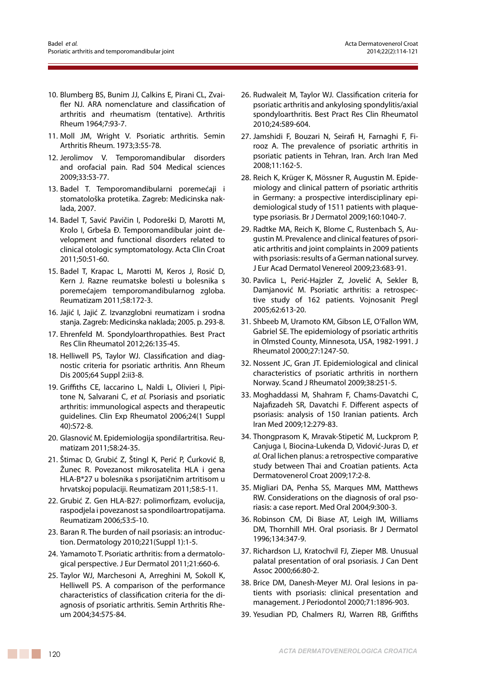- 10. Blumberg BS, Bunim JJ, Calkins E, Pirani CL, Zvaifler NJ. ARA nomenclature and classification of arthritis and rheumatism (tentative). Arthritis Rheum 1964;7:93-7.
- 11. Moll JM, Wright V. Psoriatic arthritis. Semin Arthritis Rheum. 1973;3:55-78.
- 12. Jerolimov V. Temporomandibular disorders and orofacial pain. Rad 504 Medical sciences 2009;33:53-77.
- 13. Badel T. Temporomandibularni poremećaji i stomatološka protetika. Zagreb: Medicinska naklada, 2007.
- 14. Badel T, Savić Pavičin I, Podoreški D, Marotti M, Krolo I, Grbeša Đ. Temporomandibular joint development and functional disorders related to clinical otologic symptomatology. Acta Clin Croat 2011;50:51-60.
- 15. Badel T, Krapac L, Marotti M, Keros J, Rosić D, Kern J. Razne reumatske bolesti u bolesnika s poremećajem temporomandibularnog zgloba. Reumatizam 2011;58:172-3.
- 16. Jajić I, Jajić Z. Izvanzglobni reumatizam i srodna stanja. Zagreb: Medicinska naklada; 2005. p. 293-8.
- 17. Ehrenfeld M. Spondyloarthropathies. Best Pract Res Clin Rheumatol 2012;26:135-45.
- 18. Helliwell PS, Taylor WJ. Classification and diagnostic criteria for psoriatic arthritis. Ann Rheum Dis 2005;64 Suppl 2:ii3-8.
- 19. Griffiths CE, Iaccarino L, Naldi L, Olivieri I, Pipitone N, Salvarani C, *et al.* Psoriasis and psoriatic arthritis: immunological aspects and therapeutic guidelines. Clin Exp Rheumatol 2006;24(1 Suppl 40):S72-8.
- 20. Glasnović M. Epidemiologija spondilartritisa. Reumatizam 2011;58:24-35.
- 21. Štimac D, Grubić Z, Štingl K, Perić P, Ćurković B, Žunec R. Povezanost mikrosatelita HLA i gena HLA-B\*27 u bolesnika s psorijatičnim artritisom u hrvatskoj populaciji. Reumatizam 2011;58:5-11.
- 22. Grubić Z. Gen HLA-B27: polimorfizam, evolucija, raspodjela i povezanost sa spondiloartropatijama. Reumatizam 2006;53:5-10.
- 23. Baran R. The burden of nail psoriasis: an introduction. Dermatology 2010;221(Suppl 1):1-5.
- 24. Yamamoto T. Psoriatic arthritis: from a dermatological perspective. J Eur Dermatol 2011;21:660-6.
- 25. Taylor WJ, Marchesoni A, Arreghini M, Sokoll K, Helliwell PS. A comparison of the performance characteristics of classification criteria for the diagnosis of psoriatic arthritis. Semin Arthritis Rheum 2004;34:575-84.
- 26. Rudwaleit M, Taylor WJ. Classification criteria for psoriatic arthritis and ankylosing spondylitis/axial spondyloarthritis. Best Pract Res Clin Rheumatol 2010;24:589-604.
- 27. Jamshidi F, Bouzari N, Seirafi H, Farnaghi F, Firooz A. The prevalence of psoriatic arthritis in psoriatic patients in Tehran, Iran. Arch Iran Med 2008;11:162-5.
- 28. Reich K, Krüger K, Mössner R, Augustin M. Epidemiology and clinical pattern of psoriatic arthritis in Germany: a prospective interdisciplinary epidemiological study of 1511 patients with plaquetype psoriasis. Br J Dermatol 2009;160:1040-7.
- 29. Radtke MA, Reich K, Blome C, Rustenbach S, Augustin M. Prevalence and clinical features of psoriatic arthritis and joint complaints in 2009 patients with psoriasis: results of a German national survey. J Eur Acad Dermatol Venereol 2009;23:683-91.
- 30. Pavlica L, Perić-Hajzler Z, Jovelić A, Sekler B, Damjanović M. Psoriatic arthritis: a retrospective study of 162 patients. Vojnosanit Pregl 2005;62:613-20.
- 31. Shbeeb M, Uramoto KM, Gibson LE, O'Fallon WM, Gabriel SE. The epidemiology of psoriatic arthritis in Olmsted County, Minnesota, USA, 1982-1991. J Rheumatol 2000;27:1247-50.
- 32. Nossent JC, Gran JT. Epidemiological and clinical characteristics of psoriatic arthritis in northern Norway. Scand J Rheumatol 2009;38:251-5.
- 33. Moghaddassi M, Shahram F, Chams-Davatchi C, Najafizadeh SR, Davatchi F. Different aspects of psoriasis: analysis of 150 Iranian patients. Arch Iran Med 2009;12:279-83.
- 34. Thongprasom K, Mravak-Stipetić M, Luckprom P, Canjuga I, Biocina-Lukenda D, Vidović-Juras D, *et al.* Oral lichen planus: a retrospective comparative study between Thai and Croatian patients. Acta Dermatovenerol Croat 2009;17:2-8.
- 35. Migliari DA, Penha SS, Marques MM, Matthews RW. Considerations on the diagnosis of oral psoriasis: a case report. Med Oral 2004;9:300-3.
- 36. Robinson CM, Di Biase AT, Leigh IM, Williams DM, Thornhill MH. Oral psoriasis. Br J Dermatol 1996;134:347-9.
- 37. Richardson LJ, Kratochvil FJ, Zieper MB. Unusual palatal presentation of oral psoriasis. J Can Dent Assoc 2000;66:80-2.
- 38. Brice DM, Danesh-Meyer MJ. Oral lesions in patients with psoriasis: clinical presentation and management. J Periodontol 2000;71:1896-903.
- 39. Yesudian PD, Chalmers RJ, Warren RB, Griffiths